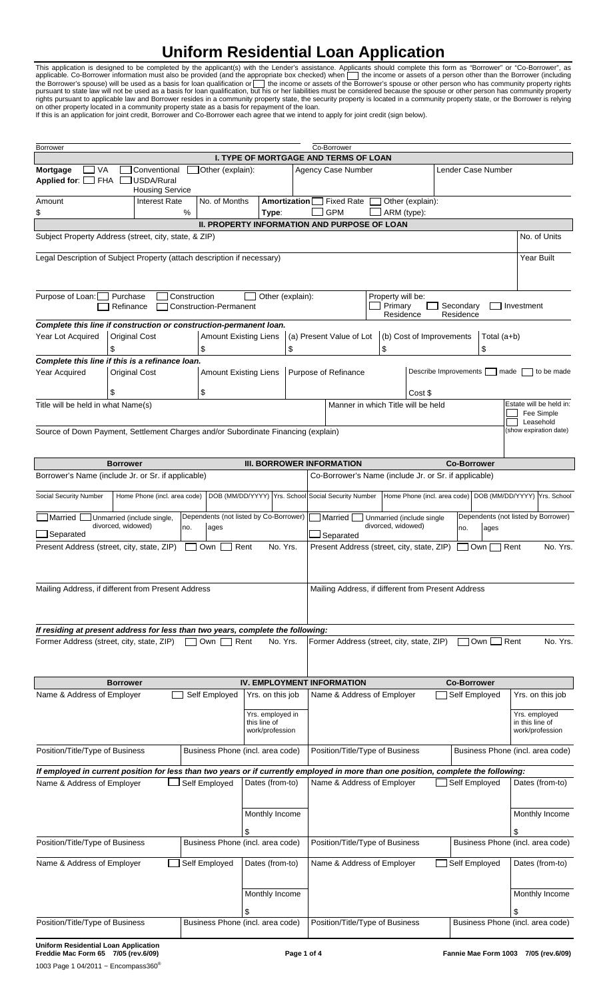## **Uniform Residential Loan Application**

This application is designed to be completed by the applicant(s) with the Lender's assistance. Applicants should complete this form as "Borrower" or "Co-Borrower", as applicable. Co-Borrower information must also be provided (and the appropriate box checked) when  $\Box$  the income or assets of a person other than the Borrower (including the Borrower's spouse) will be used as a basis for loan qualification or with the income or assets of the Borrower's spouse or other person who has community property rights pursuant to state law will not be used as a basis for loan qualification, but his or her liabilities must be considered because the spouse or other person has community property rights pursuant to applicable law and Borrower resides in a community property state, the security property is located in a community property state, or the Borrower is relying on other property located in a community property state as a basis for repayment of the loan.

| on other property located in a community property clate as a bacic for repayment of the loan.                                          |  |  |
|----------------------------------------------------------------------------------------------------------------------------------------|--|--|
| If this is an application for joint credit, Borrower and Co-Borrower each agree that we intend to apply for joint credit (sign below). |  |  |

| <b>Borrower</b>                                                                                                                                                                              |                                                      |      |                                        |                                                     |                | Co-Borrower                                                                                      |                    |                                    |                    |                     |                                                           |
|----------------------------------------------------------------------------------------------------------------------------------------------------------------------------------------------|------------------------------------------------------|------|----------------------------------------|-----------------------------------------------------|----------------|--------------------------------------------------------------------------------------------------|--------------------|------------------------------------|--------------------|---------------------|-----------------------------------------------------------|
|                                                                                                                                                                                              |                                                      |      |                                        |                                                     |                | <b>I. TYPE OF MORTGAGE AND TERMS OF LOAN</b>                                                     |                    |                                    |                    |                     |                                                           |
| Mortgage<br>VA<br><b>FHA</b><br>Applied for: $\Box$                                                                                                                                          | Conventional<br>USDA/Rural<br><b>Housing Service</b> |      | Other (explain):                       |                                                     |                | Agency Case Number                                                                               |                    |                                    |                    | Lender Case Number  |                                                           |
| Amount<br>\$                                                                                                                                                                                 | <b>Interest Rate</b>                                 | $\%$ | No. of Months                          | Type:                                               | Amortization [ | <b>Fixed Rate</b><br><b>GPM</b>                                                                  |                    | Other (explain):<br>ARM (type):    |                    |                     |                                                           |
|                                                                                                                                                                                              |                                                      |      |                                        |                                                     |                | II. PROPERTY INFORMATION AND PURPOSE OF LOAN                                                     |                    |                                    |                    |                     |                                                           |
| Subject Property Address (street, city, state, & ZIP)                                                                                                                                        |                                                      |      |                                        |                                                     |                |                                                                                                  | No. of Units       |                                    |                    |                     |                                                           |
| Legal Description of Subject Property (attach description if necessary)                                                                                                                      |                                                      |      |                                        |                                                     |                |                                                                                                  |                    |                                    |                    |                     | Year Built                                                |
| Purpose of Loan:<br>Purchase<br>Other (explain):<br>Property will be:<br>Construction<br>$\Box$ Primary<br>Secondary<br>Refinance<br><b>Construction-Permanent</b><br>Residence<br>Residence |                                                      |      |                                        |                                                     |                | Investment                                                                                       |                    |                                    |                    |                     |                                                           |
| Complete this line if construction or construction-permanent loan.<br>Year Lot Acquired                                                                                                      | <b>Original Cost</b><br>\$                           | \$   | <b>Amount Existing Liens</b>           |                                                     | \$             | (a) Present Value of Lot                                                                         | \$                 | (b) Cost of Improvements           |                    | Total $(a+b)$<br>\$ |                                                           |
| Complete this line if this is a refinance loan.                                                                                                                                              |                                                      |      |                                        |                                                     |                |                                                                                                  |                    |                                    |                    |                     |                                                           |
| Year Acquired                                                                                                                                                                                | <b>Original Cost</b>                                 |      | <b>Amount Existing Liens</b>           |                                                     |                | Purpose of Refinance                                                                             |                    | Describe Improvements              |                    | made                | to be made                                                |
|                                                                                                                                                                                              |                                                      | \$   |                                        |                                                     |                |                                                                                                  |                    | Cost \$                            |                    |                     |                                                           |
| Title will be held in what Name(s)                                                                                                                                                           |                                                      |      |                                        |                                                     |                |                                                                                                  |                    | Manner in which Title will be held |                    |                     | Estate will be held in:<br>Fee Simple<br>Leasehold        |
| Source of Down Payment, Settlement Charges and/or Subordinate Financing (explain)                                                                                                            |                                                      |      |                                        |                                                     |                |                                                                                                  |                    |                                    |                    |                     | (show expiration date)                                    |
|                                                                                                                                                                                              | <b>Borrower</b>                                      |      |                                        |                                                     |                | <b>III. BORROWER INFORMATION</b>                                                                 |                    |                                    | <b>Co-Borrower</b> |                     |                                                           |
| Borrower's Name (include Jr. or Sr. if applicable)                                                                                                                                           |                                                      |      |                                        |                                                     |                | Co-Borrower's Name (include Jr. or Sr. if applicable)                                            |                    |                                    |                    |                     |                                                           |
| Social Security Number                                                                                                                                                                       | Home Phone (incl. area code)                         |      |                                        |                                                     |                | DOB (MM/DD/YYYY) Yrs. School Social Security Number                                              |                    |                                    |                    |                     | Home Phone (incl. area code) DOB (MM/DD/YYYY) Yrs. School |
| Married                                                                                                                                                                                      | Unmarried (include single,                           |      | Dependents (not listed by Co-Borrower) |                                                     |                | Married                                                                                          |                    | Unmarried (include single          |                    |                     | Dependents (not listed by Borrower)                       |
| Separated                                                                                                                                                                                    | divorced, widowed)                                   | no.  | ages                                   |                                                     |                | Separated                                                                                        | divorced, widowed) |                                    | no.                | ages                |                                                           |
| Present Address (street, city, state, ZIP)<br>Mailing Address, if different from Present Address                                                                                             |                                                      |      | Own                                    | Rent                                                | No. Yrs.       | Present Address (street, city, state, ZIP)<br>Mailing Address, if different from Present Address |                    |                                    |                    | Own                 | No. Yrs.<br>Rent                                          |
|                                                                                                                                                                                              |                                                      |      |                                        |                                                     |                |                                                                                                  |                    |                                    |                    |                     |                                                           |
| If residing at present address for less than two years, complete the following:                                                                                                              |                                                      |      |                                        |                                                     |                |                                                                                                  |                    |                                    |                    |                     |                                                           |
| Former Address (street, city, state, ZIP)                                                                                                                                                    |                                                      |      | Own                                    | Rent                                                | No. Yrs.       | Former Address (street, city, state, ZIP)                                                        |                    |                                    |                    | Own                 | No. Yrs.<br>Rent                                          |
|                                                                                                                                                                                              | <b>Borrower</b>                                      |      |                                        |                                                     |                | <b>IV. EMPLOYMENT INFORMATION</b>                                                                |                    |                                    | <b>Co-Borrower</b> |                     |                                                           |
| Name & Address of Employer                                                                                                                                                                   |                                                      |      | Self Employed                          | Yrs. on this job                                    |                | Name & Address of Employer                                                                       |                    |                                    | Self Employed      |                     | Yrs. on this job                                          |
|                                                                                                                                                                                              |                                                      |      |                                        | Yrs. employed in<br>this line of<br>work/profession |                |                                                                                                  |                    |                                    |                    |                     | Yrs. employed<br>in this line of<br>work/profession       |
| Position/Title/Type of Business                                                                                                                                                              |                                                      |      | Business Phone (incl. area code)       |                                                     |                | Position/Title/Type of Business                                                                  |                    |                                    |                    |                     | Business Phone (incl. area code)                          |
| If employed in current position for less than two years or if currently employed in more than one position, complete the following:                                                          |                                                      |      |                                        |                                                     |                |                                                                                                  |                    |                                    |                    |                     |                                                           |
| Name & Address of Employer                                                                                                                                                                   |                                                      |      | Self Employed                          | Dates (from-to)                                     |                | Name & Address of Employer                                                                       |                    |                                    | Self Employed      |                     | Dates (from-to)                                           |
|                                                                                                                                                                                              |                                                      |      |                                        | Monthly Income<br>\$                                |                |                                                                                                  |                    |                                    |                    |                     | Monthly Income<br>\$                                      |
| Position/Title/Type of Business                                                                                                                                                              |                                                      |      | Business Phone (incl. area code)       |                                                     |                | Position/Title/Type of Business                                                                  |                    |                                    |                    |                     | Business Phone (incl. area code)                          |
| Name & Address of Employer                                                                                                                                                                   |                                                      |      | Self Employed                          | Dates (from-to)                                     |                | Name & Address of Employer                                                                       |                    |                                    | Self Employed      |                     | Dates (from-to)                                           |
|                                                                                                                                                                                              |                                                      |      |                                        | Monthly Income                                      |                |                                                                                                  |                    |                                    |                    |                     | Monthly Income                                            |
| Position/Title/Type of Business                                                                                                                                                              |                                                      |      | Business Phone (incl. area code)       |                                                     |                | Position/Title/Type of Business                                                                  |                    |                                    |                    |                     | Business Phone (incl. area code)                          |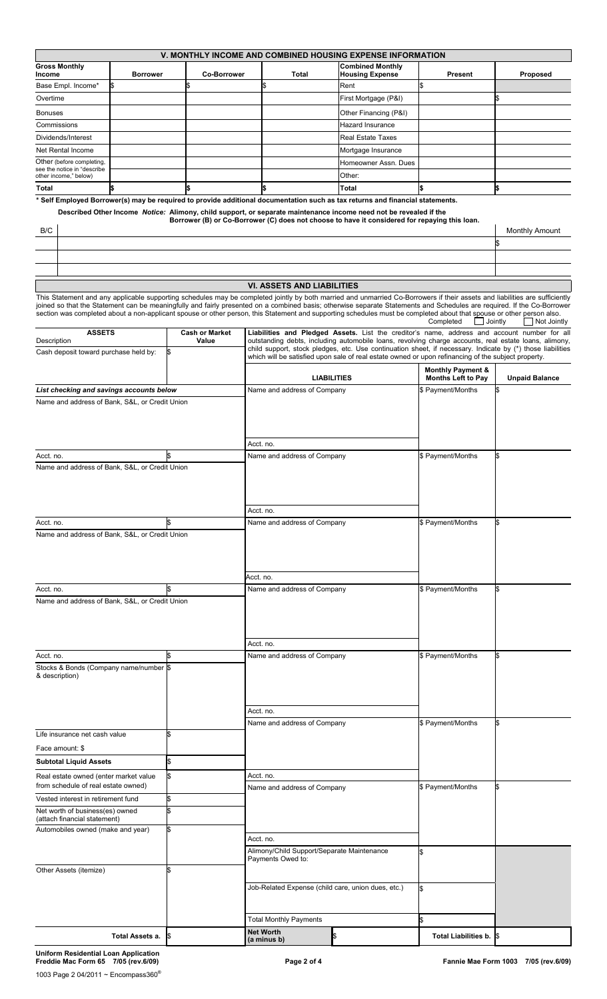| V. MONTHLY INCOME AND COMBINED HOUSING EXPENSE INFORMATION |                 |                    |              |                                                   |         |          |  |  |
|------------------------------------------------------------|-----------------|--------------------|--------------|---------------------------------------------------|---------|----------|--|--|
| <b>Gross Monthly</b><br>Income                             | <b>Borrower</b> | <b>Co-Borrower</b> | <b>Total</b> | <b>Combined Monthly</b><br><b>Housing Expense</b> | Present | Proposed |  |  |
| Base Empl. Income*                                         |                 |                    |              | Rent                                              |         |          |  |  |
| Overtime                                                   |                 |                    |              | First Mortgage (P&I)                              |         |          |  |  |
| <b>Bonuses</b>                                             |                 |                    |              | Other Financing (P&I)                             |         |          |  |  |
| Commissions                                                |                 |                    |              | Hazard Insurance                                  |         |          |  |  |
| Dividends/Interest                                         |                 |                    |              | <b>Real Estate Taxes</b>                          |         |          |  |  |
| Net Rental Income                                          |                 |                    |              | Mortgage Insurance                                |         |          |  |  |
| Other (before completing,                                  |                 |                    |              | Homeowner Assn, Dues                              |         |          |  |  |
| see the notice in "describe<br>other income," below)       |                 |                    |              | Other:                                            |         |          |  |  |
| <b>Total</b>                                               |                 |                    |              | <b>Total</b>                                      |         |          |  |  |

**\* Self Employed Borrower(s) may be required to provide additional documentation such as tax returns and financial statements.**

 **Described Other Income** *Notice:* **Alimony, child support, or separate maintenance income need not be revealed if the** 

 **Borrower (B) or Co-Borrower (C) does not choose to have it considered for repaying this loan.** 

| B/C | Amount<br>Monthly |
|-----|-------------------|
|     |                   |
|     |                   |
|     |                   |

## **VI. ASSETS AND LIABILITIES**

This Statement and any applicable supporting schedules may be completed jointly by both married and unmarried Co-Borrowers if their assets and liabilities are sufficiently joined so that the Statement can be meaningfully and fairly presented on a combined basis; otherwise separate Statements and Schedules are required. If the Co-Borrower section was completed about a non-applicant spouse or other person, this Statement and supporting schedules must be completed about that spouse or other person also. Completed **D** Jointly **D** Not Jointly **ASSETS Description Cash or Market Value Liabilities and Pledged Assets.** List the creditor's name, address and account number for all outstanding debts, including automobile loans, revolving charge accounts, real estate loans, alimony, child support, stock pledges, etc. Use continuation sheet, if necessary. Indicate by (\*) those liabilities Cash deposit toward purchase held by:  $\begin{bmatrix} s \\ \end{bmatrix}$  and  $\begin{bmatrix} \text{child support, stock pledges, etc.} \\ \text{which will be satisfied upon sale of real estate owned or upon refining of the subject property.} \end{bmatrix}$  (\*) those **LIABILITIES Monthly Payment & Months Left to Pay Unpaid Balance List checking and savings accounts below Name and address of Company 5 Payment/Months \$ Payment/Months** Name and address of Bank, S&L, or Credit Union Acct. no. Acct. no.  $\S$  S Name and address of Company Speared Theorem is Payment/Months Name and address of Bank, S&L, or Credit Union Acct. no. Acct. no.  $\S$  Name and address of Company  $\S$  Payment/Months Name and address of Bank, S&L, or Credit Union Acct. no. Acct. no. **S** Name and address of Company \$ Payment/Months Name and address of Bank, S&L, or Credit Union Acct. no. Acct. no. **S** Name and address of Company \$ Payment/Months Stocks & Bonds (Company name/number & description) \$ Acct. no. Name and address of Company **\$** Payment/Months Life insurance net cash value Face amount: \$ \$ **Subtotal Liquid Assets** Real estate owned (enter market value \$ Acct. no. from schedule of real estate owned) **Name and address of Company** \$ Payment/Months Vested interest in retirement fund \$ Net worth of business(es) owned (attach financial statement) \$ Automobiles owned (make and year) \$ Acct. no. Alimony/Child Support/Separate Maintenance Payments Owed to: \$ Other Assets (itemize) \$ Job-Related Expense (child care, union dues, etc.) \$  $\overline{\text{Total Monthly} }$  Payments **Total Assets a. \$** Net Worth *Net Worth Net Worth* **Total Liabilities b.** 

**Uniform Residential Loan Application** 

 $\mathbf{r}$